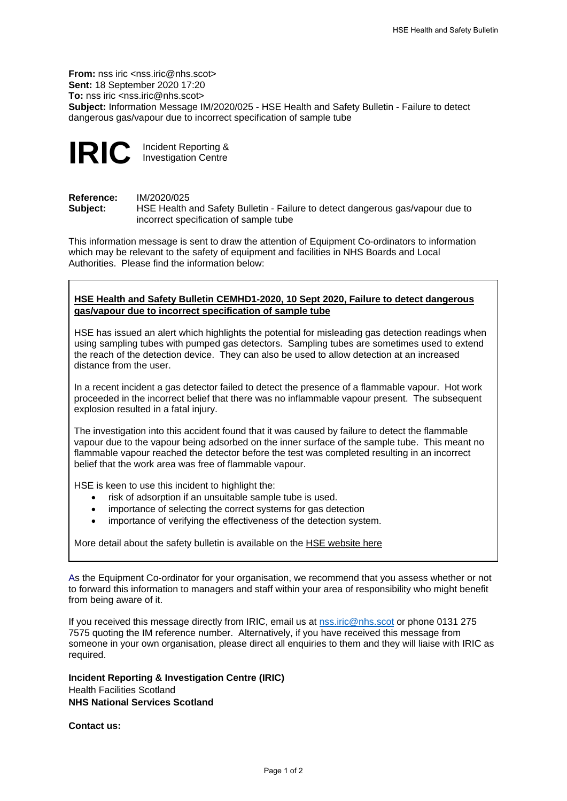**From:** nss iric <nss.iric@nhs.scot> **Sent:** 18 September 2020 17:20 **To:** nss iric <nss.iric@nhs.scot> **Subject:** Information Message IM/2020/025 - HSE Health and Safety Bulletin - Failure to detect dangerous gas/vapour due to incorrect specification of sample tube



**IRIC** Incident Reporting & Investigation Centre

**Reference:** IM/2020/025<br> **Subiect:** HSE Health

**Subject:** HSE Health and Safety Bulletin - Failure to detect dangerous gas/vapour due to incorrect specification of sample tube

This information message is sent to draw the attention of Equipment Co-ordinators to information which may be relevant to the safety of equipment and facilities in NHS Boards and Local Authorities. Please find the information below:

## **HSE Health and Safety Bulletin CEMHD1-2020, 10 Sept 2020, Failure to detect dangerous gas/vapour due to incorrect specification of sample tube**

HSE has issued an alert which highlights the potential for misleading gas detection readings when using sampling tubes with pumped gas detectors. Sampling tubes are sometimes used to extend the reach of the detection device. They can also be used to allow detection at an increased distance from the user.

In a recent incident a gas detector failed to detect the presence of a flammable vapour. Hot work proceeded in the incorrect belief that there was no inflammable vapour present. The subsequent explosion resulted in a fatal injury.

The investigation into this accident found that it was caused by failure to detect the flammable vapour due to the vapour being adsorbed on the inner surface of the sample tube. This meant no flammable vapour reached the detector before the test was completed resulting in an incorrect belief that the work area was free of flammable vapour.

HSE is keen to use this incident to highlight the:

- risk of adsorption if an unsuitable sample tube is used.
- importance of selecting the correct systems for gas detection
- importance of verifying the effectiveness of the detection system.

More detail about the safety bulletin is available on the [HSE website here](https://www.hse.gov.uk/safetybulletins/failure-to-detect-dangerous-gas.htm?utm_source=govdelivery&utm_medium=email&utm_campaign=dangerous-gas-safety-alert&utm_term=intro&utm_content=alert-bulletin-1609)

As the Equipment Co-ordinator for your organisation, we recommend that you assess whether or not to forward this information to managers and staff within your area of responsibility who might benefit from being aware of it.

If you received this message directly from IRIC, email us at [nss.iric@nhs.scot](mailto:nss.iric@nhs.scot) or phone 0131 275 7575 quoting the IM reference number.Alternatively, if you have received this message from someone in your own organisation, please direct all enquiries to them and they will liaise with IRIC as required.

**Incident Reporting & Investigation Centre (IRIC)** Health Facilities Scotland **NHS National Services Scotland**

**Contact us:**